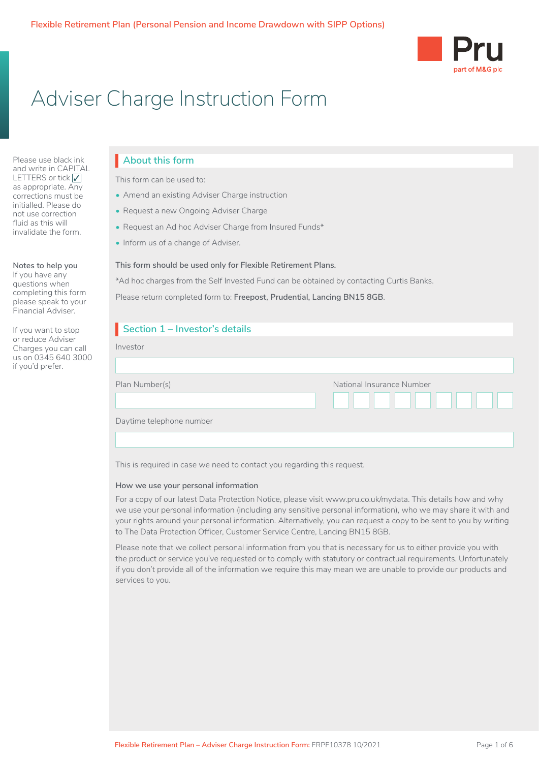

## Adviser Charge Instruction Form

Please use black ink and write in CAPITAL LETTERS or tick √ as appropriate. Any corrections must be initialled. Please do not use correction fluid as this will invalidate the form.

#### **Notes to help you**

If you have any questions when completing this form please speak to your Financial Adviser.

If you want to stop or reduce Adviser Charges you can call us on 0345 640 3000 if you'd prefer.

#### **About this form**

This form can be used to:

- Amend an existing Adviser Charge instruction
- Request a new Ongoing Adviser Charge
- Request an Ad hoc Adviser Charge from Insured Funds\*
- Inform us of a change of Adviser.

#### **This form should be used only for Flexible Retirement Plans.**

\*Ad hoc charges from the Self Invested Fund can be obtained by contacting Curtis Banks.

Please return completed form to: **Freepost, Prudential, Lancing BN15 8GB**.

| Section 1 - Investor's details |                           |
|--------------------------------|---------------------------|
| Investor                       |                           |
|                                |                           |
| Plan Number(s)                 | National Insurance Number |
|                                |                           |
| Daytime telephone number       |                           |
|                                |                           |

This is required in case we need to contact you regarding this request.

#### **How we use your personal information**

For a copy of our latest Data Protection Notice, please visit www.pru.co.uk/mydata. This details how and why we use your personal information (including any sensitive personal information), who we may share it with and your rights around your personal information. Alternatively, you can request a copy to be sent to you by writing to The Data Protection Officer, Customer Service Centre, Lancing BN15 8GB.

Please note that we collect personal information from you that is necessary for us to either provide you with the product or service you've requested or to comply with statutory or contractual requirements. Unfortunately if you don't provide all of the information we require this may mean we are unable to provide our products and services to you.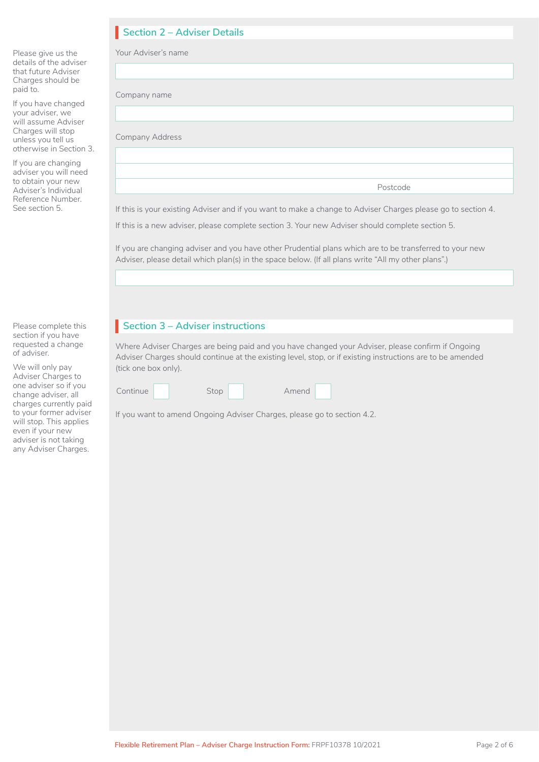## **Section 2 – Adviser Details**

| Please give us the<br>details of the adviser<br>that future Adviser                                                               | Your Adviser's name                                                                                                                                                                                            |  |  |
|-----------------------------------------------------------------------------------------------------------------------------------|----------------------------------------------------------------------------------------------------------------------------------------------------------------------------------------------------------------|--|--|
| Charges should be<br>paid to.                                                                                                     | Company name                                                                                                                                                                                                   |  |  |
| If you have changed<br>your adviser, we<br>will assume Adviser                                                                    |                                                                                                                                                                                                                |  |  |
| Charges will stop<br>unless you tell us<br>otherwise in Section 3.                                                                | <b>Company Address</b>                                                                                                                                                                                         |  |  |
| If you are changing<br>adviser you will need<br>to obtain your new<br>Adviser's Individual<br>Reference Number.<br>See section 5. |                                                                                                                                                                                                                |  |  |
|                                                                                                                                   | Postcode                                                                                                                                                                                                       |  |  |
|                                                                                                                                   | If this is your existing Adviser and if you want to make a change to Adviser Charges please go to section 4.                                                                                                   |  |  |
|                                                                                                                                   | If this is a new adviser, please complete section 3. Your new Adviser should complete section 5.                                                                                                               |  |  |
|                                                                                                                                   | If you are changing adviser and you have other Prudential plans which are to be transferred to your new<br>Adviser, please detail which plan(s) in the space below. (If all plans write "All my other plans".) |  |  |

Please complete this section if you have requested a change of adviser.

We will only pay Adviser Charges to one adviser so if you change adviser, all charges currently paid to your former adviser will stop. This applies even if your new adviser is not taking any Adviser Charges.

#### **Section 3 – Adviser instructions**

Where Adviser Charges are being paid and you have changed your Adviser, please confirm if Ongoing Adviser Charges should continue at the existing level, stop, or if existing instructions are to be amended (tick one box only).

| Continue | Stop | Amend |  |
|----------|------|-------|--|
|----------|------|-------|--|

If you want to amend Ongoing Adviser Charges, please go to section 4.2.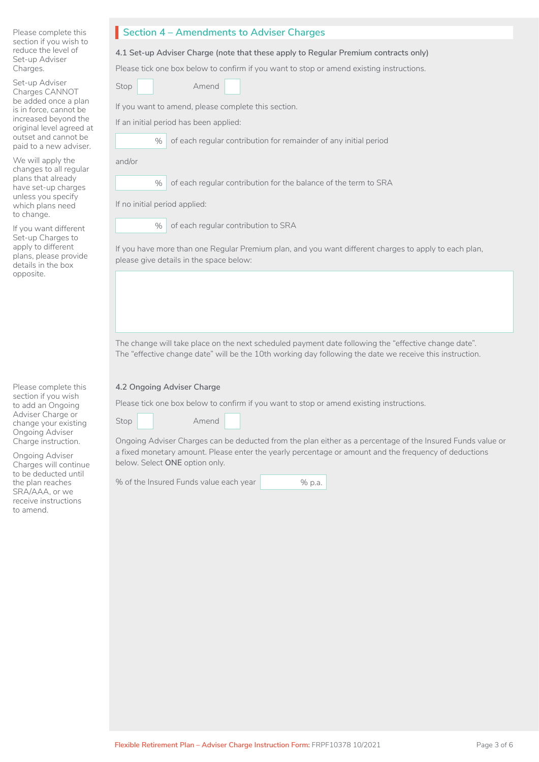| Please complete this   |
|------------------------|
| section if you wish to |
| reduce the level of    |
| Set-up Adviser         |
| Charges.               |

Set-up Adviser Charges CANNOT be added once a plan is in force, cannot be increased beyond the original level agreed at outset and cannot be paid to a new adviser.

We will apply the changes to all regular plans that already have set-up charges unless you specify which plans need to change.

If you want different Set-up Charges to apply to different plans, please provide details in the box opposite.

Please complete this section if you wish to add an Ongoing Adviser Charge or change your existing Ongoing Adviser Charge instruction.

Ongoing Adviser Charges will continue to be deducted until the plan reaches SRA/AAA, or we receive instructions to amend.

#### **Section 4 – Amendments to Adviser Charges**

#### **4.1 Set-up Adviser Charge (note that these apply to Regular Premium contracts only)**

Please tick one box below to confirm if you want to stop or amend existing instructions.

Amend

If you want to amend, please complete this section.

If an initial period has been applied:

% of each regular contribution for remainder of any initial period

and/or

Stop

% of each regular contribution for the balance of the term to SRA

If no initial period applied:

% of each regular contribution to SRA

If you have more than one Regular Premium plan, and you want different charges to apply to each plan, please give details in the space below:

The change will take place on the next scheduled payment date following the "effective change date". The "effective change date" will be the 10th working day following the date we receive this instruction.

#### **4.2 Ongoing Adviser Charge**

Please tick one box below to confirm if you want to stop or amend existing instructions.

Stop

Amend

Ongoing Adviser Charges can be deducted from the plan either as a percentage of the Insured Funds value or a fixed monetary amount. Please enter the yearly percentage or amount and the frequency of deductions below. Select **ONE** option only.

% of the Insured Funds value each year % p.a.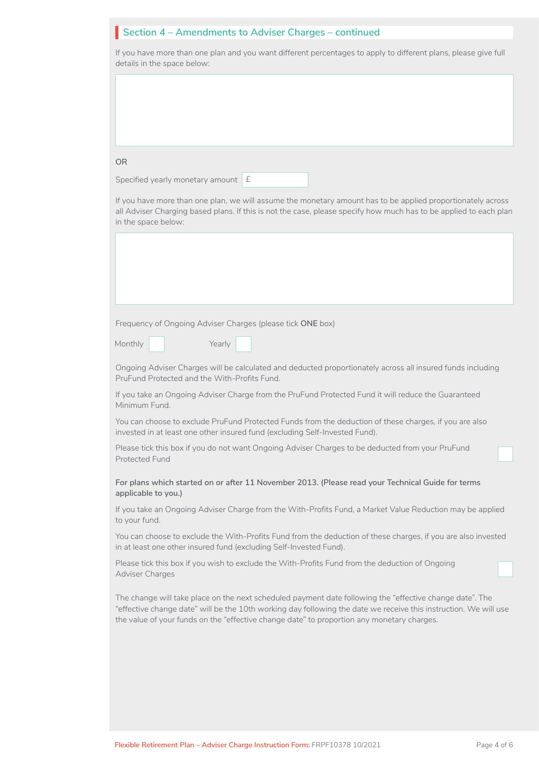| Section 4 - Amendments to Adviser Charges - continued                                                                                                                                                                                                                                                                      |  |
|----------------------------------------------------------------------------------------------------------------------------------------------------------------------------------------------------------------------------------------------------------------------------------------------------------------------------|--|
| If you have more than one plan and you want different percentages to apply to different plans, please give full<br>details in the space below:                                                                                                                                                                             |  |
|                                                                                                                                                                                                                                                                                                                            |  |
|                                                                                                                                                                                                                                                                                                                            |  |
|                                                                                                                                                                                                                                                                                                                            |  |
|                                                                                                                                                                                                                                                                                                                            |  |
| <b>OR</b>                                                                                                                                                                                                                                                                                                                  |  |
| Specified yearly monetary amount E                                                                                                                                                                                                                                                                                         |  |
| If you have more than one plan, we will assume the monetary amount has to be applied proportionately across<br>all Adviser Charging based plans. If this is not the case, please specify how much has to be applied to each plan<br>in the space below:                                                                    |  |
|                                                                                                                                                                                                                                                                                                                            |  |
|                                                                                                                                                                                                                                                                                                                            |  |
|                                                                                                                                                                                                                                                                                                                            |  |
|                                                                                                                                                                                                                                                                                                                            |  |
| Frequency of Ongoing Adviser Charges (please tick ONE box)                                                                                                                                                                                                                                                                 |  |
| Monthly<br>Yearly                                                                                                                                                                                                                                                                                                          |  |
| Ongoing Adviser Charges will be calculated and deducted proportionately across all insured funds including<br>PruFund Protected and the With-Profits Fund.                                                                                                                                                                 |  |
| If you take an Ongoing Adviser Charge from the PruFund Protected Fund it will reduce the Guaranteed<br>Minimum Fund.                                                                                                                                                                                                       |  |
| You can choose to exclude PruFund Protected Funds from the deduction of these charges, if you are also<br>invested in at least one other insured fund (excluding Self-Invested Fund).                                                                                                                                      |  |
| Please tick this box if you do not want Ongoing Adviser Charges to be deducted from your PruFund<br><b>Protected Fund</b>                                                                                                                                                                                                  |  |
| For plans which started on or after 11 November 2013. (Please read your Technical Guide for terms<br>applicable to you.)                                                                                                                                                                                                   |  |
| If you take an Ongoing Adviser Charge from the With-Profits Fund, a Market Value Reduction may be applied<br>to your fund.                                                                                                                                                                                                 |  |
| You can choose to exclude the With-Profits Fund from the deduction of these charges, if you are also invested<br>in at least one other insured fund (excluding Self-Invested Fund).                                                                                                                                        |  |
| Please tick this box if you wish to exclude the With-Profits Fund from the deduction of Ongoing<br>Adviser Charges                                                                                                                                                                                                         |  |
| The change will take place on the next scheduled payment date following the "effective change date". The<br>"effective change date" will be the 10th working day following the date we receive this instruction. We will use<br>the value of your funds on the "effective change date" to proportion any monetary charges. |  |
|                                                                                                                                                                                                                                                                                                                            |  |
|                                                                                                                                                                                                                                                                                                                            |  |
|                                                                                                                                                                                                                                                                                                                            |  |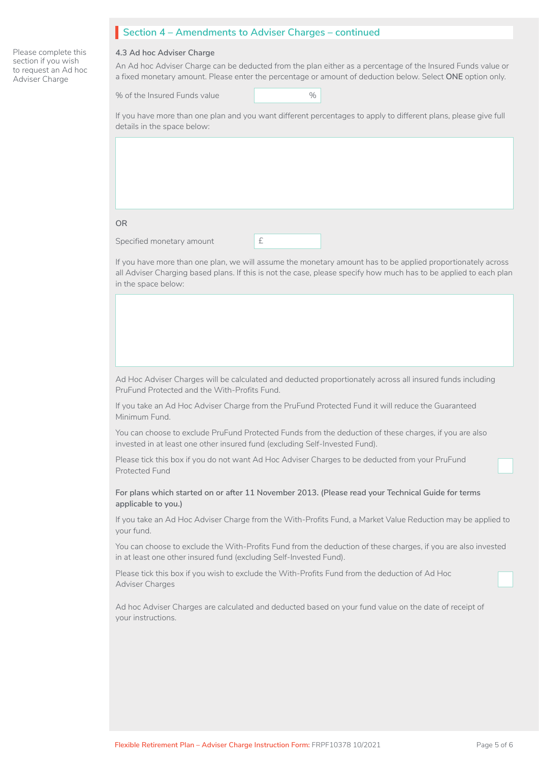#### **Section 4 – Amendments to Adviser Charges – continued**

**4.3 Ad hoc Adviser Charge**

Please complete this section if you wish to request an Ad hoc Adviser Charge

An Ad hoc Adviser Charge can be deducted from the plan either as a percentage of the Insured Funds value or a fixed monetary amount. Please enter the percentage or amount of deduction below. Select **ONE** option only.

| % of the Insured Funds value | $\%$ |  |
|------------------------------|------|--|
|------------------------------|------|--|

If you have more than one plan and you want different percentages to apply to different plans, please give full details in the space below:

**OR**

Specified monetary amount **E** 

| ۰ |  |  |
|---|--|--|
|   |  |  |
|   |  |  |
|   |  |  |
|   |  |  |

If you have more than one plan, we will assume the monetary amount has to be applied proportionately across all Adviser Charging based plans. If this is not the case, please specify how much has to be applied to each plan in the space below:

Ad Hoc Adviser Charges will be calculated and deducted proportionately across all insured funds including PruFund Protected and the With-Profits Fund.

If you take an Ad Hoc Adviser Charge from the PruFund Protected Fund it will reduce the Guaranteed Minimum Fund.

You can choose to exclude PruFund Protected Funds from the deduction of these charges, if you are also invested in at least one other insured fund (excluding Self-Invested Fund).

Please tick this box if you do not want Ad Hoc Adviser Charges to be deducted from your PruFund Protected Fund

**For plans which started on or after 11 November 2013. (Please read your Technical Guide for terms applicable to you.)**

If you take an Ad Hoc Adviser Charge from the With-Profits Fund, a Market Value Reduction may be applied to your fund.

You can choose to exclude the With-Profits Fund from the deduction of these charges, if you are also invested in at least one other insured fund (excluding Self-Invested Fund).

Please tick this box if you wish to exclude the With-Profits Fund from the deduction of Ad Hoc Adviser Charges

Ad hoc Adviser Charges are calculated and deducted based on your fund value on the date of receipt of your instructions.